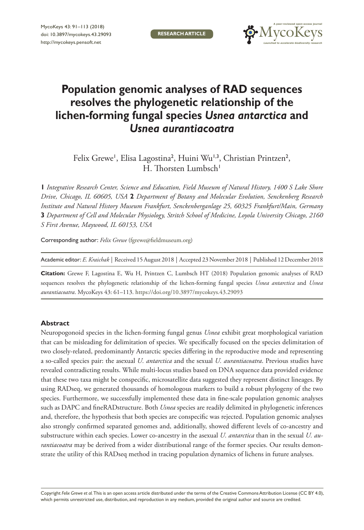**RESEARCH ARTICLE**



# **Population genomic analyses of RAD sequences resolves the phylogenetic relationship of the lichen-forming fungal species** *Usnea antarctica* **and**  *Usnea aurantiacoatra*

Felix Grewe', Elisa Lagostina<sup>2</sup>, Huini Wu<sup>1,3</sup>, Christian Printzen<sup>2</sup>, H. Thorsten Lumbsch<sup>1</sup>

**1** *Integrative Research Center, Science and Education, Field Museum of Natural History, 1400 S Lake Shore Drive, Chicago, IL 60605, USA* **2** *Department of Botany and Molecular Evolution, Senckenberg Research Institute and Natural History Museum Frankfurt, Senckenberganlage 25, 60325 Frankfurt/Main, Germany*  **3** *Department of Cell and Molecular Physiology, Stritch School of Medicine, Loyola University Chicago, 2160 S First Avenue, Maywood, IL 60153, USA*

Corresponding author: *Felix Grewe* ([fgrewe@fieldmuseum.org](mailto:fgrewe@fieldmuseum.org))

Academic editor: *E. Kraichak* | Received 15 August 2018 | Accepted 23 November 2018 | Published 12 December 2018

**Citation:** Grewe F, Lagostina E, Wu H, Printzen C, Lumbsch HT (2018) Population genomic analyses of RAD sequences resolves the phylogenetic relationship of the lichen-forming fungal species *Usnea antarctica* and *Usnea aurantiacoatra*. MycoKeys 43: 61–113.<https://doi.org/10.3897/mycokeys.43.29093>

#### **Abstract**

Neuropogonoid species in the lichen-forming fungal genus *Usnea* exhibit great morphological variation that can be misleading for delimitation of species. We specifically focused on the species delimitation of two closely-related, predominantly Antarctic species differing in the reproductive mode and representing a so-called species pair: the asexual *U. antarctica* and the sexual *U. aurantiacoatra*. Previous studies have revealed contradicting results. While multi-locus studies based on DNA sequence data provided evidence that these two taxa might be conspecific, microsatellite data suggested they represent distinct lineages. By using RADseq, we generated thousands of homologous markers to build a robust phylogeny of the two species. Furthermore, we successfully implemented these data in fine-scale population genomic analyses such as DAPC and fineRADstructure. Both *Usnea* species are readily delimited in phylogenetic inferences and, therefore, the hypothesis that both species are conspecific was rejected. Population genomic analyses also strongly confirmed separated genomes and, additionally, showed different levels of co-ancestry and substructure within each species. Lower co-ancestry in the asexual *U. antarctica* than in the sexual *U. aurantiacoatra* may be derived from a wider distributional range of the former species. Our results demonstrate the utility of this RADseq method in tracing population dynamics of lichens in future analyses.

Copyright *Felix Grewe et al.* This is an open access article distributed under the terms of the [Creative Commons Attribution License \(CC BY 4.0\),](http://creativecommons.org/licenses/by/4.0/) which permits unrestricted use, distribution, and reproduction in any medium, provided the original author and source are credited.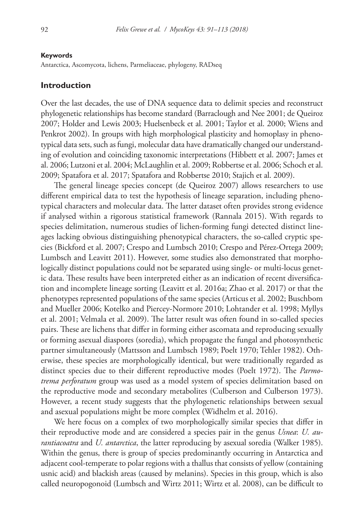#### **Keywords**

Antarctica, Ascomycota, lichens, Parmeliaceae, phylogeny, RADseq

#### **Introduction**

Over the last decades, the use of DNA sequence data to delimit species and reconstruct phylogenetic relationships has become standard (Barraclough and Nee 2001; de Queiroz 2007; Holder and Lewis 2003; Huelsenbeck et al. 2001; Taylor et al. 2000; Wiens and Penkrot 2002). In groups with high morphological plasticity and homoplasy in phenotypical data sets, such as fungi, molecular data have dramatically changed our understanding of evolution and coinciding taxonomic interpretations (Hibbett et al. 2007; James et al. 2006; Lutzoni et al. 2004; McLaughlin et al. 2009; Robbertse et al. 2006; Schoch et al. 2009; Spatafora et al. 2017; Spatafora and Robbertse 2010; Stajich et al. 2009).

The general lineage species concept (de Queiroz 2007) allows researchers to use different empirical data to test the hypothesis of lineage separation, including phenotypical characters and molecular data. The latter dataset often provides strong evidence if analysed within a rigorous statistical framework (Rannala 2015). With regards to species delimitation, numerous studies of lichen-forming fungi detected distinct lineages lacking obvious distinguishing phenotypical characters, the so-called cryptic species (Bickford et al. 2007; Crespo and Lumbsch 2010; Crespo and Pérez-Ortega 2009; Lumbsch and Leavitt 2011). However, some studies also demonstrated that morphologically distinct populations could not be separated using single- or multi-locus genetic data. These results have been interpreted either as an indication of recent diversification and incomplete lineage sorting (Leavitt et al. 2016a; Zhao et al. 2017) or that the phenotypes represented populations of the same species (Articus et al. 2002; Buschbom and Mueller 2006; Kotelko and Piercey-Normore 2010; Lohtander et al. 1998; Myllys et al. 2001; Velmala et al. 2009). The latter result was often found in so-called species pairs. These are lichens that differ in forming either ascomata and reproducing sexually or forming asexual diaspores (soredia), which propagate the fungal and photosynthetic partner simultaneously (Mattsson and Lumbsch 1989; Poelt 1970; Tehler 1982). Otherwise, these species are morphologically identical, but were traditionally regarded as distinct species due to their different reproductive modes (Poelt 1972). The *Parmotrema perforatum* group was used as a model system of species delimitation based on the reproductive mode and secondary metabolites (Culberson and Culberson 1973). However, a recent study suggests that the phylogenetic relationships between sexual and asexual populations might be more complex (Widhelm et al. 2016).

We here focus on a complex of two morphologically similar species that differ in their reproductive mode and are considered a species pair in the genus *Usnea*: *U. aurantiacoatra* and *U. antarctica*, the latter reproducing by asexual soredia (Walker 1985). Within the genus, there is group of species predominantly occurring in Antarctica and adjacent cool-temperate to polar regions with a thallus that consists of yellow (containing usnic acid) and blackish areas (caused by melanins). Species in this group, which is also called neuropogonoid (Lumbsch and Wirtz 2011; Wirtz et al. 2008), can be difficult to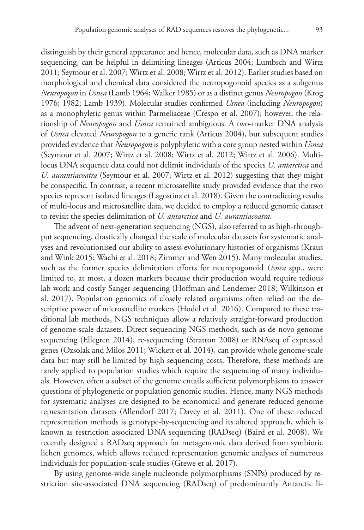distinguish by their general appearance and hence, molecular data, such as DNA marker sequencing, can be helpful in delimiting lineages (Articus 2004; Lumbsch and Wirtz 2011; Seymour et al. 2007; Wirtz et al. 2008; Wirtz et al. 2012). Earlier studies based on morphological and chemical data considered the neuropogonoid species as a subgenus *Neuropogon* in *Usnea* (Lamb 1964; Walker 1985) or as a distinct genus *Neuropogon* (Krog 1976; 1982; Lamb 1939). Molecular studies confirmed *Usnea* (including *Neuropogon*) as a monophyletic genus within Parmeliaceae (Crespo et al. 2007); however, the relationship of *Neuropogon* and *Usnea* remained ambiguous. A two-marker DNA analysis of *Usnea* elevated *Neuropogon* to a generic rank (Articus 2004), but subsequent studies provided evidence that *Neuropogon* is polyphyletic with a core group nested within *Usnea* (Seymour et al. 2007; Wirtz et al. 2008; Wirtz et al. 2012; Wirtz et al. 2006). Multilocus DNA sequence data could not delimit individuals of the species *U. antarctica* and *U. aurantiacoatra* (Seymour et al. 2007; Wirtz et al. 2012) suggesting that they might be conspecific. In contrast, a recent microsatellite study provided evidence that the two species represent isolated lineages (Lagostina et al. 2018). Given the contradicting results of multi-locus and microsatellite data, we decided to employ a reduced genomic dataset to revisit the species delimitation of *U. antarctica* and *U. aurantiacoatra*.

The advent of next-generation sequencing (NGS), also referred to as high-throughput sequencing, drastically changed the scale of molecular datasets for systematic analyses and revolutionised our ability to assess evolutionary histories of organisms (Kraus and Wink 2015; Wachi et al. 2018; Zimmer and Wen 2015). Many molecular studies, such as the former species delimitation efforts for neuropogonoid *Usnea* spp., were limited to, at most, a dozen markers because their production would require tedious lab work and costly Sanger-sequencing (Hoffman and Lendemer 2018; Wilkinson et al. 2017). Population genomics of closely related organisms often relied on the descriptive power of microsatellite markers (Hodel et al. 2016). Compared to these traditional lab methods, NGS techniques allow a relatively straight-forward production of genome-scale datasets. Direct sequencing NGS methods, such as de-novo genome sequencing (Ellegren 2014), re-sequencing (Stratton 2008) or RNAseq of expressed genes (Ozsolak and Milos 2011; Wickett et al. 2014), can provide whole genome-scale data but may still be limited by high sequencing costs. Therefore, these methods are rarely applied to population studies which require the sequencing of many individuals. However, often a subset of the genome entails sufficient polymorphisms to answer questions of phylogenetic or population genomic studies. Hence, many NGS methods for systematic analyses are designed to be economical and generate reduced genome representation datasets (Allendorf 2017; Davey et al. 2011). One of these reduced representation methods is genotype-by-sequencing and its altered approach, which is known as restriction associated DNA sequencing (RADseq) (Baird et al. 2008). We recently designed a RADseq approach for metagenomic data derived from symbiotic lichen genomes, which allows reduced representation genomic analyses of numerous individuals for population-scale studies (Grewe et al. 2017).

By using genome-wide single nucleotide polymorphisms (SNPs) produced by restriction site-associated DNA sequencing (RADseq) of predominantly Antarctic li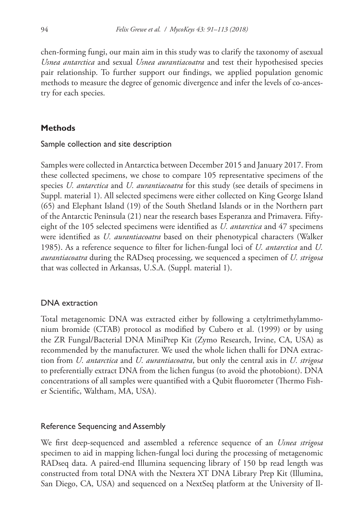chen-forming fungi, our main aim in this study was to clarify the taxonomy of asexual *Usnea antarctica* and sexual *Usnea aurantiacoatra* and test their hypothesised species pair relationship. To further support our findings, we applied population genomic methods to measure the degree of genomic divergence and infer the levels of co-ancestry for each species.

## **Methods**

#### Sample collection and site description

Samples were collected in Antarctica between December 2015 and January 2017. From these collected specimens, we chose to compare 105 representative specimens of the species *U. antarctica* and *U. aurantiacoatra* for this study (see details of specimens in Suppl. material 1). All selected specimens were either collected on King George Island (65) and Elephant Island (19) of the South Shetland Islands or in the Northern part of the Antarctic Peninsula (21) near the research bases Esperanza and Primavera. Fiftyeight of the 105 selected specimens were identified as *U. antarctica* and 47 specimens were identified as *U. aurantiacoatra* based on their phenotypical characters (Walker 1985). As a reference sequence to filter for lichen-fungal loci of *U. antarctica* and *U. aurantiacoatra* during the RADseq processing, we sequenced a specimen of *U. strigosa* that was collected in Arkansas, U.S.A. (Suppl. material 1).

### DNA extraction

Total metagenomic DNA was extracted either by following a cetyltrimethylammonium bromide (CTAB) protocol as modified by Cubero et al. (1999) or by using the ZR Fungal/Bacterial DNA MiniPrep Kit (Zymo Research, Irvine, CA, USA) as recommended by the manufacturer. We used the whole lichen thalli for DNA extraction from *U. antarctica* and *U. aurantiacoatra*, but only the central axis in *U. strigosa* to preferentially extract DNA from the lichen fungus (to avoid the photobiont). DNA concentrations of all samples were quantified with a Qubit fluorometer (Thermo Fisher Scientific, Waltham, MA, USA).

## Reference Sequencing and Assembly

We first deep-sequenced and assembled a reference sequence of an *Usnea strigosa* specimen to aid in mapping lichen-fungal loci during the processing of metagenomic RADseq data. A paired-end Illumina sequencing library of 150 bp read length was constructed from total DNA with the Nextera XT DNA Library Prep Kit (Illumina, San Diego, CA, USA) and sequenced on a NextSeq platform at the University of Il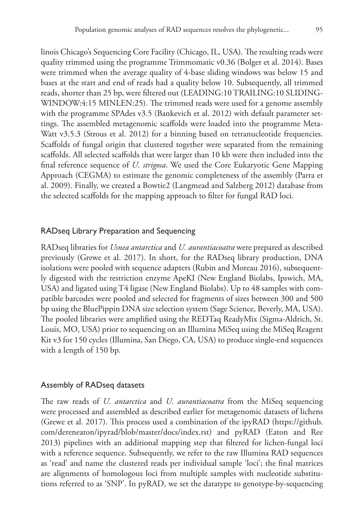linois Chicago's Sequencing Core Facility (Chicago, IL, USA). The resulting reads were quality trimmed using the programme Trimmomatic v0.36 (Bolger et al. 2014). Bases were trimmed when the average quality of 4-base sliding windows was below 15 and bases at the start and end of reads had a quality below 10. Subsequently, all trimmed reads, shorter than 25 bp, were filtered out (LEADING:10 TRAILING:10 SLIDING-WINDOW:4:15 MINLEN:25). The trimmed reads were used for a genome assembly with the programme SPAdes v3.5 (Bankevich et al. 2012) with default parameter settings. The assembled metagenomic scaffolds were loaded into the programme Meta-Watt v3.5.3 (Strous et al. 2012) for a binning based on tetranucleotide frequencies. Scaffolds of fungal origin that clustered together were separated from the remaining scaffolds. All selected scaffolds that were larger than 10 kb were then included into the final reference sequence of *U. strigosa*. We used the Core Eukaryotic Gene Mapping Approach (CEGMA) to estimate the genomic completeness of the assembly (Parra et al. 2009). Finally, we created a Bowtie2 (Langmead and Salzberg 2012) database from the selected scaffolds for the mapping approach to filter for fungal RAD loci.

#### RADseq Library Preparation and Sequencing

RADseq libraries for *Usnea antarctica* and *U. aurantiacoatra* were prepared as described previously (Grewe et al. 2017). In short, for the RADseq library production, DNA isolations were pooled with sequence adapters (Rubin and Moreau 2016), subsequently digested with the restriction enzyme ApeKI (New England Biolabs, Ipswich, MA, USA) and ligated using T4 ligase (New England Biolabs). Up to 48 samples with compatible barcodes were pooled and selected for fragments of sizes between 300 and 500 bp using the BluePippin DNA size selection system (Sage Science, Beverly, MA, USA). The pooled libraries were amplified using the REDTaq ReadyMix (Sigma-Aldrich, St. Louis, MO, USA) prior to sequencing on an Illumina MiSeq using the MiSeq Reagent Kit v3 for 150 cycles (Illumina, San Diego, CA, USA) to produce single-end sequences with a length of 150 bp.

#### Assembly of RADseq datasets

The raw reads of *U. antarctica* and *U. aurantiacoatra* from the MiSeq sequencing were processed and assembled as described earlier for metagenomic datasets of lichens (Grewe et al. 2017). This process used a combination of the ipyRAD [\(https://github.](https://github.com/dereneaton/ipyrad/blob/master/docs/index.rst) [com/dereneaton/ipyrad/blob/master/docs/index.rst\)](https://github.com/dereneaton/ipyrad/blob/master/docs/index.rst) and pyRAD (Eaton and Ree 2013) pipelines with an additional mapping step that filtered for lichen-fungal loci with a reference sequence. Subsequently, we refer to the raw Illumina RAD sequences as 'read' and name the clustered reads per individual sample 'loci'; the final matrices are alignments of homologous loci from multiple samples with nucleotide substitutions referred to as 'SNP'. In pyRAD, we set the datatype to genotype-by-sequencing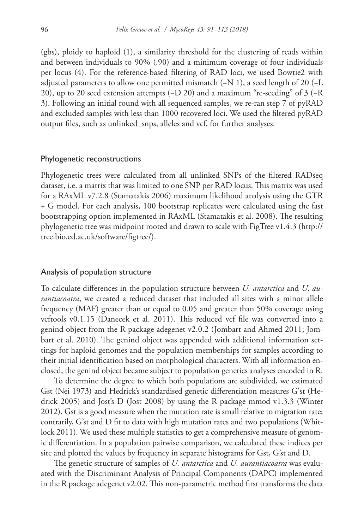(gbs), ploidy to haploid (1), a similarity threshold for the clustering of reads within and between individuals to 90% (.90) and a minimum coverage of four individuals per locus (4). For the reference-based filtering of RAD loci, we used Bowtie2 with adjusted parameters to allow one permitted mismatch (−N 1), a seed length of 20 (−L 20), up to 20 seed extension attempts (−D 20) and a maximum "re-seeding" of 3 (−R 3). Following an initial round with all sequenced samples, we re-ran step 7 of pyRAD and excluded samples with less than 1000 recovered loci. We used the filtered pyRAD output files, such as unlinked\_snps, alleles and vcf, for further analyses.

#### Phylogenetic reconstructions

Phylogenetic trees were calculated from all unlinked SNPs of the filtered RADseq dataset, i.e. a matrix that was limited to one SNP per RAD locus. This matrix was used for a RAxML v7.2.8 (Stamatakis 2006) maximum likelihood analysis using the GTR + G model. For each analysis, 100 bootstrap replicates were calculated using the fast bootstrapping option implemented in RAxML (Stamatakis et al. 2008). The resulting phylogenetic tree was midpoint rooted and drawn to scale with FigTree v1.4.3 [\(http://](http://tree.bio.ed.ac.uk/software/figtree/) [tree.bio.ed.ac.uk/software/figtree/](http://tree.bio.ed.ac.uk/software/figtree/)).

#### Analysis of population structure

To calculate differences in the population structure between *U. antarctica* and *U. aurantiacoatra*, we created a reduced dataset that included all sites with a minor allele frequency (MAF) greater than or equal to 0.05 and greater than 50% coverage using vcftools v0.1.15 (Danecek et al. 2011). This reduced vcf file was converted into a genind object from the R package adegenet v2.0.2 (Jombart and Ahmed 2011; Jombart et al. 2010). The genind object was appended with additional information settings for haploid genomes and the population memberships for samples according to their initial identification based on morphological characters. With all information enclosed, the genind object became subject to population genetics analyses encoded in R.

To determine the degree to which both populations are subdivided, we estimated Gst (Nei 1973) and Hedrick's standardised genetic differentiation measures G'st (Hedrick 2005) and Jost's D (Jost 2008) by using the R package mmod v1.3.3 (Winter 2012). Gst is a good measure when the mutation rate is small relative to migration rate; contrarily, G'st and D fit to data with high mutation rates and two populations (Whitlock 2011). We used these multiple statistics to get a comprehensive measure of genomic differentiation. In a population pairwise comparison, we calculated these indices per site and plotted the values by frequency in separate histograms for Gst, G'st and D.

The genetic structure of samples of *U. antarctica* and *U. aurantiacoatra* was evaluated with the Discriminant Analysis of Principal Components (DAPC) implemented in the R package adegenet v2.02. This non-parametric method first transforms the data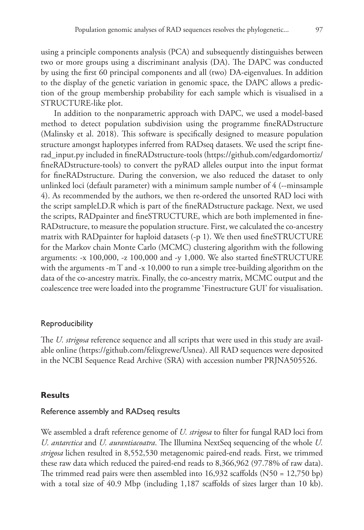using a principle components analysis (PCA) and subsequently distinguishes between two or more groups using a discriminant analysis (DA). The DAPC was conducted by using the first 60 principal components and all (two) DA-eigenvalues. In addition to the display of the genetic variation in genomic space, the DAPC allows a prediction of the group membership probability for each sample which is visualised in a STRUCTURE-like plot.

In addition to the nonparametric approach with DAPC, we used a model-based method to detect population subdivision using the programme fineRADstructure (Malinsky et al. 2018). This software is specifically designed to measure population structure amongst haplotypes inferred from RADseq datasets. We used the script finerad\_input.py included in fineRADstructure-tools ([https://github.com/edgardomortiz/](https://github.com/edgardomortiz/fineRADstructure-tools) [fineRADstructure-tools](https://github.com/edgardomortiz/fineRADstructure-tools)) to convert the pyRAD alleles output into the input format for fineRADstructure. During the conversion, we also reduced the dataset to only unlinked loci (default parameter) with a minimum sample number of 4 (--minsample 4). As recommended by the authors, we then re-ordered the unsorted RAD loci with the script sampleLD.R which is part of the fineRADstructure package. Next, we used the scripts, RADpainter and fineSTRUCTURE, which are both implemented in fine-RADstructure, to measure the population structure. First, we calculated the co-ancestry matrix with RADpainter for haploid datasets (-p 1). We then used fineSTRUCTURE for the Markov chain Monte Carlo (MCMC) clustering algorithm with the following arguments: -x 100,000, -z 100,000 and -y 1,000. We also started fineSTRUCTURE with the arguments -m T and -x 10,000 to run a simple tree-building algorithm on the data of the co-ancestry matrix. Finally, the co-ancestry matrix, MCMC output and the coalescence tree were loaded into the programme 'Finestructure GUI' for visualisation.

#### Reproducibility

The *U. strigosa* reference sequence and all scripts that were used in this study are available online (<https://github.com/felixgrewe/Usnea>). All RAD sequences were deposited in the NCBI Sequence Read Archive (SRA) with accession number PRJNA505526.

#### **Results**

### Reference assembly and RADseq results

We assembled a draft reference genome of *U. strigosa* to filter for fungal RAD loci from *U. antarctica* and *U. aurantiacoatra*. The Illumina NextSeq sequencing of the whole *U. strigosa* lichen resulted in 8,552,530 metagenomic paired-end reads. First, we trimmed these raw data which reduced the paired-end reads to 8,366,962 (97.78% of raw data). The trimmed read pairs were then assembled into 16,932 scaffolds (N50 = 12,750 bp) with a total size of 40.9 Mbp (including 1,187 scaffolds of sizes larger than 10 kb).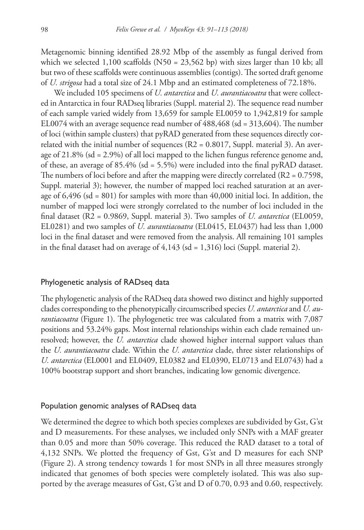Metagenomic binning identified 28.92 Mbp of the assembly as fungal derived from which we selected  $1,100$  scaffolds (N50 = 23,562 bp) with sizes larger than 10 kb; all but two of these scaffolds were continuous assemblies (contigs). The sorted draft genome of *U. strigosa* had a total size of 24.1 Mbp and an estimated completeness of 72.18%.

We included 105 specimens of *U. antarctica* and *U. aurantiacoatra* that were collected in Antarctica in four RADseq libraries (Suppl. material 2). The sequence read number of each sample varied widely from 13,659 for sample EL0059 to 1,942,819 for sample EL0074 with an average sequence read number of  $488,468$  (sd =  $313,604$ ). The number of loci (within sample clusters) that pyRAD generated from these sequences directly correlated with the initial number of sequences  $(R2 = 0.8017,$  Suppl. material 3). An average of 21.8% (sd = 2.9%) of all loci mapped to the lichen fungus reference genome and, of these, an average of 85.4% (sd = 5.5%) were included into the final pyRAD dataset. The numbers of loci before and after the mapping were directly correlated ( $R2 = 0.7598$ , Suppl. material 3); however, the number of mapped loci reached saturation at an average of  $6,496$  (sd =  $801$ ) for samples with more than  $40,000$  initial loci. In addition, the number of mapped loci were strongly correlated to the number of loci included in the final dataset (R2 = 0.9869, Suppl. material 3). Two samples of *U. antarctica* (EL0059, EL0281) and two samples of *U. aurantiacoatra* (EL0415, EL0437) had less than 1,000 loci in the final dataset and were removed from the analysis. All remaining 101 samples in the final dataset had on average of  $4,143$  (sd = 1,316) loci (Suppl. material 2).

#### Phylogenetic analysis of RADseq data

The phylogenetic analysis of the RADseq data showed two distinct and highly supported clades corresponding to the phenotypically circumscribed species *U. antarctica* and *U. aurantiacoatra* (Figure 1). The phylogenetic tree was calculated from a matrix with 7,087 positions and 53.24% gaps. Most internal relationships within each clade remained unresolved; however, the *U. antarctica* clade showed higher internal support values than the *U. aurantiacoatra* clade. Within the *U. antarctica* clade, three sister relationships of *U. antarctica* (EL0001 and EL0409, EL0382 and EL0390, EL0713 and EL0743) had a 100% bootstrap support and short branches, indicating low genomic divergence.

#### Population genomic analyses of RADseq data

We determined the degree to which both species complexes are subdivided by Gst, G'st and D measurements. For these analyses, we included only SNPs with a MAF greater than 0.05 and more than 50% coverage. This reduced the RAD dataset to a total of 4,132 SNPs. We plotted the frequency of Gst, G'st and D measures for each SNP (Figure 2). A strong tendency towards 1 for most SNPs in all three measures strongly indicated that genomes of both species were completely isolated. This was also supported by the average measures of Gst, G'st and D of 0.70, 0.93 and 0.60, respectively.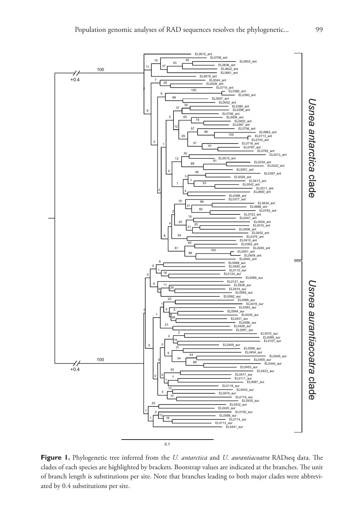

**Figure 1.** Phylogenetic tree inferred from the *U. antarctica* and *U. aurantiacoatra* RADseq data. The clades of each species are highlighted by brackets. Bootstrap values are indicated at the branches. The unit of branch length is substitutions per site. Note that branches leading to both major clades were abbreviated by 0.4 substitutions per site.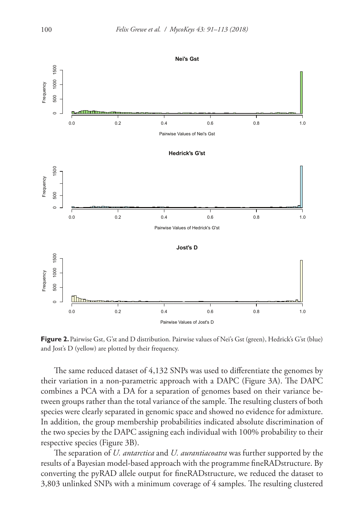

**Figure 2.** Pairwise Gst, G'st and D distribution. Pairwise values of Nei's Gst (green), Hedrick's G'st (blue) and Jost's D (yellow) are plotted by their frequency.

The same reduced dataset of 4,132 SNPs was used to differentiate the genomes by their variation in a non-parametric approach with a DAPC (Figure 3A). The DAPC combines a PCA with a DA for a separation of genomes based on their variance between groups rather than the total variance of the sample. The resulting clusters of both species were clearly separated in genomic space and showed no evidence for admixture. In addition, the group membership probabilities indicated absolute discrimination of the two species by the DAPC assigning each individual with 100% probability to their respective species (Figure 3B).

The separation of *U. antarctica* and *U. aurantiacoatra* was further supported by the results of a Bayesian model-based approach with the programme fineRADstructure. By converting the pyRAD allele output for fineRADstructure, we reduced the dataset to 3,803 unlinked SNPs with a minimum coverage of 4 samples. The resulting clustered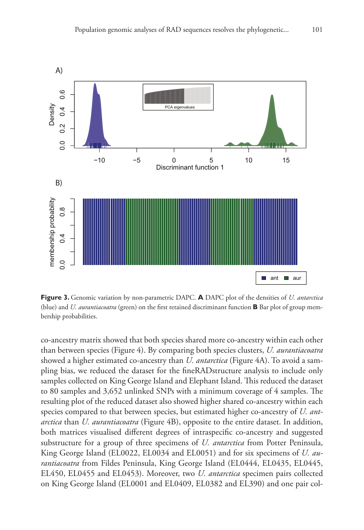

**Figure 3.** Genomic variation by non-parametric DAPC. **A** DAPC plot of the densities of *U. antarctica* (blue) and *U. aurantiacoatra* (green) on the first retained discriminant function **B** Bar plot of group membership probabilities.

co-ancestry matrix showed that both species shared more co-ancestry within each other than between species (Figure 4). By comparing both species clusters, *U. aurantiacoatra* showed a higher estimated co-ancestry than *U. antarctica* (Figure 4A). To avoid a sampling bias, we reduced the dataset for the fineRADstructure analysis to include only samples collected on King George Island and Elephant Island. This reduced the dataset to 80 samples and 3,652 unlinked SNPs with a minimum coverage of 4 samples. The resulting plot of the reduced dataset also showed higher shared co-ancestry within each species compared to that between species, but estimated higher co-ancestry of *U. antarctica* than *U. aurantiacoatra* (Figure 4B), opposite to the entire dataset. In addition, both matrices visualised different degrees of intraspecific co-ancestry and suggested substructure for a group of three specimens of *U. antarctica* from Potter Peninsula, King George Island (EL0022, EL0034 and EL0051) and for six specimens of *U. aurantiacoatra* from Fildes Peninsula, King George Island (EL0444, EL0435, EL0445, EL450, EL0455 and EL0453). Moreover, two *U. antarctica* specimen pairs collected on King George Island (EL0001 and EL0409, EL0382 and EL390) and one pair col-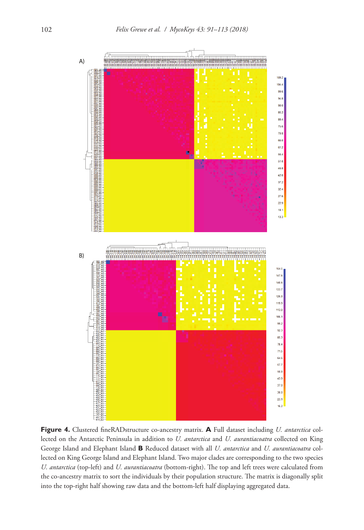

**Figure 4.** Clustered fineRADstructure co-ancestry matrix. **A** Full dataset including *U. antarctica* collected on the Antarctic Peninsula in addition to *U. antarctica* and *U. aurantiacoatra* collected on King George Island and Elephant Island **B** Reduced dataset with all *U. antarctica* and *U. aurantiacoatra* collected on King George Island and Elephant Island. Two major clades are corresponding to the two species *U. antarctica* (top-left) and *U. aurantiacoatra* (bottom-right). The top and left trees were calculated from the co-ancestry matrix to sort the individuals by their population structure. The matrix is diagonally split into the top-right half showing raw data and the bottom-left half displaying aggregated data.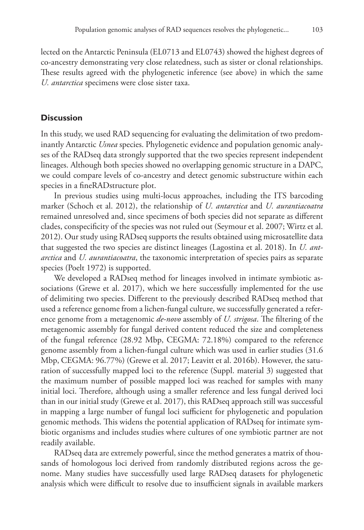lected on the Antarctic Peninsula (EL0713 and EL0743) showed the highest degrees of co-ancestry demonstrating very close relatedness, such as sister or clonal relationships. These results agreed with the phylogenetic inference (see above) in which the same *U. antarctica* specimens were close sister taxa.

### **Discussion**

In this study, we used RAD sequencing for evaluating the delimitation of two predominantly Antarctic *Usnea* species. Phylogenetic evidence and population genomic analyses of the RADseq data strongly supported that the two species represent independent lineages. Although both species showed no overlapping genomic structure in a DAPC, we could compare levels of co-ancestry and detect genomic substructure within each species in a fineRADstructure plot.

In previous studies using multi-locus approaches, including the ITS barcoding marker (Schoch et al. 2012), the relationship of *U. antarctica* and *U. aurantiacoatra* remained unresolved and, since specimens of both species did not separate as different clades, conspecificity of the species was not ruled out (Seymour et al. 2007; Wirtz et al. 2012). Our study using RADseq supports the results obtained using microsatellite data that suggested the two species are distinct lineages (Lagostina et al. 2018). In *U. antarctica* and *U. aurantiacoatra*, the taxonomic interpretation of species pairs as separate species (Poelt 1972) is supported.

We developed a RADseq method for lineages involved in intimate symbiotic associations (Grewe et al. 2017), which we here successfully implemented for the use of delimiting two species. Different to the previously described RADseq method that used a reference genome from a lichen-fungal culture, we successfully generated a reference genome from a metagenomic *de-novo* assembly of *U. strigosa*. The filtering of the metagenomic assembly for fungal derived content reduced the size and completeness of the fungal reference (28.92 Mbp, CEGMA: 72.18%) compared to the reference genome assembly from a lichen-fungal culture which was used in earlier studies (31.6 Mbp, CEGMA: 96.77%) (Grewe et al. 2017; Leavitt et al. 2016b). However, the saturation of successfully mapped loci to the reference (Suppl. material 3) suggested that the maximum number of possible mapped loci was reached for samples with many initial loci. Therefore, although using a smaller reference and less fungal derived loci than in our initial study (Grewe et al. 2017), this RADseq approach still was successful in mapping a large number of fungal loci sufficient for phylogenetic and population genomic methods. This widens the potential application of RADseq for intimate symbiotic organisms and includes studies where cultures of one symbiotic partner are not readily available.

RADseq data are extremely powerful, since the method generates a matrix of thousands of homologous loci derived from randomly distributed regions across the genome. Many studies have successfully used large RADseq datasets for phylogenetic analysis which were difficult to resolve due to insufficient signals in available markers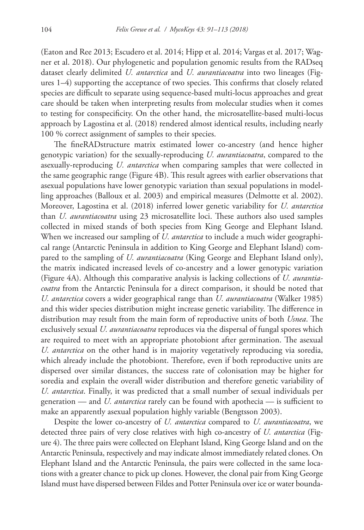(Eaton and Ree 2013; Escudero et al. 2014; Hipp et al. 2014; Vargas et al. 2017; Wagner et al. 2018). Our phylogenetic and population genomic results from the RADseq dataset clearly delimited *U. antarctica* and *U. aurantiacoatra* into two lineages (Figures 1–4) supporting the acceptance of two species. This confirms that closely related species are difficult to separate using sequence-based multi-locus approaches and great care should be taken when interpreting results from molecular studies when it comes to testing for conspecificity. On the other hand, the microsatellite-based multi-locus approach by Lagostina et al. (2018) rendered almost identical results, including nearly 100 % correct assignment of samples to their species.

The fineRADstructure matrix estimated lower co-ancestry (and hence higher genotypic variation) for the sexually-reproducing *U. aurantiacoatra*, compared to the asexually-reproducing *U. antarctica* when comparing samples that were collected in the same geographic range (Figure 4B). This result agrees with earlier observations that asexual populations have lower genotypic variation than sexual populations in modelling approaches (Balloux et al. 2003) and empirical measures (Delmotte et al. 2002). Moreover, Lagostina et al. (2018) inferred lower genetic variability for *U. antarctica*  than *U. aurantiacoatra* using 23 microsatellite loci. These authors also used samples collected in mixed stands of both species from King George and Elephant Island. When we increased our sampling of *U. antarctica* to include a much wider geographical range (Antarctic Peninsula in addition to King George and Elephant Island) compared to the sampling of *U. aurantiacoatra* (King George and Elephant Island only), the matrix indicated increased levels of co-ancestry and a lower genotypic variation (Figure 4A). Although this comparative analysis is lacking collections of *U. aurantiacoatra* from the Antarctic Peninsula for a direct comparison, it should be noted that *U. antarctica* covers a wider geographical range than *U. aurantiacoatra* (Walker 1985) and this wider species distribution might increase genetic variability. The difference in distribution may result from the main form of reproductive units of both *Usnea*. The exclusively sexual *U. aurantiacoatra* reproduces via the dispersal of fungal spores which are required to meet with an appropriate photobiont after germination. The asexual *U. antarctica* on the other hand is in majority vegetatively reproducing via soredia, which already include the photobiont. Therefore, even if both reproductive units are dispersed over similar distances, the success rate of colonisation may be higher for soredia and explain the overall wider distribution and therefore genetic variability of *U. antarctica*. Finally, it was predicted that a small number of sexual individuals per generation — and *U. antarctica* rarely can be found with apothecia — is sufficient to make an apparently asexual population highly variable (Bengtsson 2003).

Despite the lower co-ancestry of *U. antarctica* compared to *U. aurantiacoatra*, we detected three pairs of very close relatives with high co-ancestry of *U. antarctica* (Figure 4). The three pairs were collected on Elephant Island, King George Island and on the Antarctic Peninsula, respectively and may indicate almost immediately related clones. On Elephant Island and the Antarctic Peninsula, the pairs were collected in the same locations with a greater chance to pick up clones. However, the clonal pair from King George Island must have dispersed between Fildes and Potter Peninsula over ice or water bounda-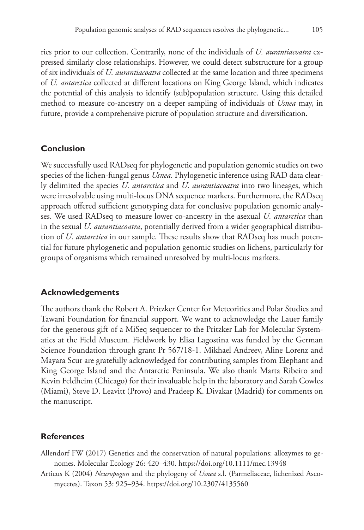ries prior to our collection. Contrarily, none of the individuals of *U. aurantiacoatra* expressed similarly close relationships. However, we could detect substructure for a group of six individuals of *U. aurantiacoatra* collected at the same location and three specimens of *U. antarctica* collected at different locations on King George Island, which indicates the potential of this analysis to identify (sub)population structure. Using this detailed method to measure co-ancestry on a deeper sampling of individuals of *Usnea* may, in future, provide a comprehensive picture of population structure and diversification.

### **Conclusion**

We successfully used RADseq for phylogenetic and population genomic studies on two species of the lichen-fungal genus *Usnea*. Phylogenetic inference using RAD data clearly delimited the species *U. antarctica* and *U. aurantiacoatra* into two lineages, which were irresolvable using multi-locus DNA sequence markers. Furthermore, the RADseq approach offered sufficient genotyping data for conclusive population genomic analyses. We used RADseq to measure lower co-ancestry in the asexual *U. antarctica* than in the sexual *U. aurantiacoatra*, potentially derived from a wider geographical distribution of *U. antarctica* in our sample. These results show that RADseq has much potential for future phylogenetic and population genomic studies on lichens, particularly for groups of organisms which remained unresolved by multi-locus markers.

### **Acknowledgements**

The authors thank the Robert A. Pritzker Center for Meteoritics and Polar Studies and Tawani Foundation for financial support. We want to acknowledge the Lauer family for the generous gift of a MiSeq sequencer to the Pritzker Lab for Molecular Systematics at the Field Museum. Fieldwork by Elisa Lagostina was funded by the German Science Foundation through grant Pr 567/18-1. Mikhael Andreev, Aline Lorenz and Mayara Scur are gratefully acknowledged for contributing samples from Elephant and King George Island and the Antarctic Peninsula. We also thank Marta Ribeiro and Kevin Feldheim (Chicago) for their invaluable help in the laboratory and Sarah Cowles (Miami), Steve D. Leavitt (Provo) and Pradeep K. Divakar (Madrid) for comments on the manuscript.

### **References**

- Allendorf FW (2017) Genetics and the conservation of natural populations: allozymes to genomes. Molecular Ecology 26: 420–430. <https://doi.org/10.1111/mec.13948>
- Articus K (2004) *Neuropogon* and the phylogeny of *Usnea* s.l. (Parmeliaceae, lichenized Ascomycetes). Taxon 53: 925–934. <https://doi.org/10.2307/4135560>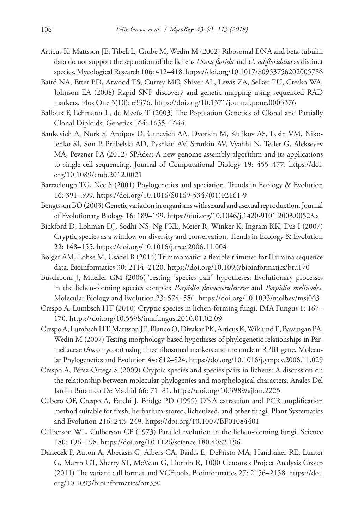- Articus K, Mattsson JE, Tibell L, Grube M, Wedin M (2002) Ribosomal DNA and beta-tubulin data do not support the separation of the lichens *Usnea florida* and *U. subfloridana* as distinct species. Mycological Research 106: 412–418.<https://doi.org/10.1017/S0953756202005786>
- Baird NA, Etter PD, Atwood TS, Currey MC, Shiver AL, Lewis ZA, Selker EU, Cresko WA, Johnson EA (2008) Rapid SNP discovery and genetic mapping using sequenced RAD markers. Plos One 3(10): e3376.<https://doi.org/10.1371/journal.pone.0003376>
- Balloux F, Lehmann L, de Meeûs T (2003) The Population Genetics of Clonal and Partially Clonal Diploids. Genetics 164: 1635–1644.
- Bankevich A, Nurk S, Antipov D, Gurevich AA, Dvorkin M, Kulikov AS, Lesin VM, Nikolenko SI, Son P, Prjibelski AD, Pyshkin AV, Sirotkin AV, Vyahhi N, Tesler G, Alekseyev MA, Pevzner PA (2012) SPAdes: A new genome assembly algorithm and its applications to single-cell sequencing. Journal of Computational Biology 19: 455–477. [https://doi.](https://doi.org/10.1089/cmb.2012.0021) [org/10.1089/cmb.2012.0021](https://doi.org/10.1089/cmb.2012.0021)
- Barraclough TG, Nee S (2001) Phylogenetics and speciation. Trends in Ecology & Evolution 16: 391–399. [https://doi.org/10.1016/S0169-5347\(01\)02161-9](https://doi.org/10.1016/S0169-5347(01)02161-9)
- Bengtsson BO (2003) Genetic variation in organisms with sexual and asexual reproduction. Journal of Evolutionary Biology 16: 189–199.<https://doi.org/10.1046/j.1420-9101.2003.00523.x>
- Bickford D, Lohman DJ, Sodhi NS, Ng PKL, Meier R, Winker K, Ingram KK, Das I (2007) Cryptic species as a window on diversity and conservation. Trends in Ecology & Evolution 22: 148–155.<https://doi.org/10.1016/j.tree.2006.11.004>
- Bolger AM, Lohse M, Usadel B (2014) Trimmomatic: a flexible trimmer for Illumina sequence data. Bioinformatics 30: 2114–2120.<https://doi.org/10.1093/bioinformatics/btu170>
- Buschbom J, Mueller GM (2006) Testing "species pair" hypotheses: Evolutionary processes in the lichen-forming species complex *Porpidia flavocoerulescens* and *Porpidia melinodes*. Molecular Biology and Evolution 23: 574–586.<https://doi.org/10.1093/molbev/msj063>
- Crespo A, Lumbsch HT (2010) Cryptic species in lichen-forming fungi. IMA Fungus 1: 167– 170.<https://doi.org/10.5598/imafungus.2010.01.02.09>
- Crespo A, Lumbsch HT, Mattsson JE, Blanco O, Divakar PK, Articus K, Wiklund E, Bawingan PA, Wedin M (2007) Testing morphology-based hypotheses of phylogenetic relationships in Parmeliaceae (Ascomycota) using three ribosomal markers and the nuclear RPB1 gene. Molecular Phylogenetics and Evolution 44: 812–824.<https://doi.org/10.1016/j.ympev.2006.11.029>
- Crespo A, Pérez-Ortega S (2009) Cryptic species and species pairs in lichens: A discussion on the relationship between molecular phylogenies and morphological characters. Anales Del Jardin Botanico De Madrid 66: 71–81.<https://doi.org/10.3989/ajbm.2225>
- Cubero OF, Crespo A, Fatehi J, Bridge PD (1999) DNA extraction and PCR amplification method suitable for fresh, herbarium-stored, lichenized, and other fungi. Plant Systematics and Evolution 216: 243–249. <https://doi.org/10.1007/BF01084401>
- Culberson WL, Culberson CF (1973) Parallel evolution in the lichen-forming fungi. Science 180: 196–198.<https://doi.org/10.1126/science.180.4082.196>
- Danecek P, Auton A, Abecasis G, Albers CA, Banks E, DePristo MA, Handsaker RE, Lunter G, Marth GT, Sherry ST, McVean G, Durbin R, 1000 Genomes Project Analysis Group (2011) The variant call format and VCFtools. Bioinformatics 27: 2156–2158. [https://doi.](https://doi.org/10.1093/bioinformatics/btr330) [org/10.1093/bioinformatics/btr330](https://doi.org/10.1093/bioinformatics/btr330)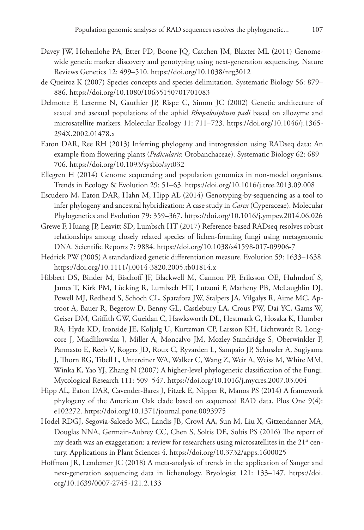- Davey JW, Hohenlohe PA, Etter PD, Boone JQ, Catchen JM, Blaxter ML (2011) Genomewide genetic marker discovery and genotyping using next-generation sequencing. Nature Reviews Genetics 12: 499–510. <https://doi.org/10.1038/nrg3012>
- de Queiroz K (2007) Species concepts and species delimitation. Systematic Biology 56: 879– 886.<https://doi.org/10.1080/10635150701701083>
- Delmotte F, Leterme N, Gauthier JP, Rispe C, Simon JC (2002) Genetic architecture of sexual and asexual populations of the aphid *Rhopalosiphum padi* based on allozyme and microsatellite markers. Molecular Ecology 11: 711–723. [https://doi.org/10.1046/j.1365-](https://doi.org/10.1046/j.1365-294X.2002.01478.x) [294X.2002.01478.x](https://doi.org/10.1046/j.1365-294X.2002.01478.x)
- Eaton DAR, Ree RH (2013) Inferring phylogeny and introgression using RADseq data: An example from flowering plants (*Pedicularis*: Orobanchaceae). Systematic Biology 62: 689– 706.<https://doi.org/10.1093/sysbio/syt032>
- Ellegren H (2014) Genome sequencing and population genomics in non-model organisms. Trends in Ecology & Evolution 29: 51–63. <https://doi.org/10.1016/j.tree.2013.09.008>
- Escudero M, Eaton DAR, Hahn M, Hipp AL (2014) Genotyping-by-sequencing as a tool to infer phylogeny and ancestral hybridization: A case study in *Carex* (Cyperaceae). Molecular Phylogenetics and Evolution 79: 359–367.<https://doi.org/10.1016/j.ympev.2014.06.026>
- Grewe F, Huang JP, Leavitt SD, Lumbsch HT (2017) Reference-based RADseq resolves robust relationships among closely related species of lichen-forming fungi using metagenomic DNA. Scientific Reports 7: 9884. <https://doi.org/10.1038/s41598-017-09906-7>
- Hedrick PW (2005) A standardized genetic differentiation measure. Evolution 59: 1633–1638. <https://doi.org/10.1111/j.0014-3820.2005.tb01814.x>
- Hibbett DS, Binder M, Bischoff JF, Blackwell M, Cannon PF, Eriksson OE, Huhndorf S, James T, Kirk PM, Lücking R, Lumbsch HT, Lutzoni F, Matheny PB, McLaughlin DJ, Powell MJ, Redhead S, Schoch CL, Spatafora JW, Stalpers JA, Vilgalys R, Aime MC, Aptroot A, Bauer R, Begerow D, Benny GL, Castlebury LA, Crous PW, Dai YC, Gams W, Geiser DM, Griffith GW, Gueidan C, Hawksworth DL, Hestmark G, Hosaka K, Humber RA, Hyde KD, Ironside JE, Koljalg U, Kurtzman CP, Larsson KH, Lichtwardt R, Longcore J, Miadlikowska J, Miller A, Moncalvo JM, Mozley-Standridge S, Oberwinkler F, Parmasto E, Reeb V, Rogers JD, Roux C, Ryvarden L, Sampaio JP, Schussler A, Sugiyama J, Thorn RG, Tibell L, Untereiner WA, Walker C, Wang Z, Weir A, Weiss M, White MM, Winka K, Yao YJ, Zhang N (2007) A higher-level phylogenetic classification of the Fungi. Mycological Research 111: 509–547.<https://doi.org/10.1016/j.mycres.2007.03.004>
- Hipp AL, Eaton DAR, Cavender-Bares J, Fitzek E, Nipper R, Manos PS (2014) A framework phylogeny of the American Oak clade based on sequenced RAD data. Plos One 9(4): e102272.<https://doi.org/10.1371/journal.pone.0093975>
- Hodel RDGJ, Segovia-Salcedo MC, Landis JB, Crowl AA, Sun M, Liu X, Gitzendanner MA, Douglas NNA, Germain-Aubrey CC, Chen S, Soltis DE, Soltis PS (2016) The report of my death was an exaggeration: a review for researchers using microsatellites in the 21<sup>st</sup> century. Applications in Plant Sciences 4. <https://doi.org/10.3732/apps.1600025>
- Hoffman JR, Lendemer JC (2018) A meta-analysis of trends in the application of Sanger and next-generation sequencing data in lichenology. Bryologist 121: 133–147. [https://doi.](https://doi.org/10.1639/0007-2745-121.2.133) [org/10.1639/0007-2745-121.2.133](https://doi.org/10.1639/0007-2745-121.2.133)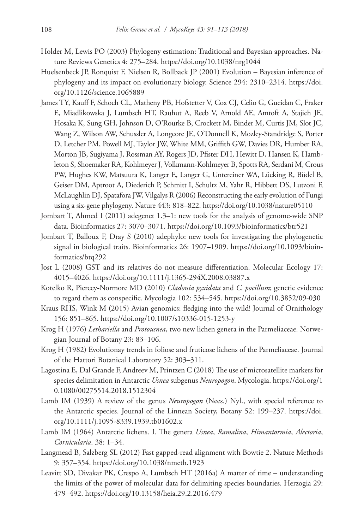- Holder M, Lewis PO (2003) Phylogeny estimation: Traditional and Bayesian approaches. Nature Reviews Genetics 4: 275–284. <https://doi.org/10.1038/nrg1044>
- Huelsenbeck JP, Ronquist F, Nielsen R, Bollback JP (2001) Evolution Bayesian inference of phylogeny and its impact on evolutionary biology. Science 294: 2310–2314. [https://doi.](https://doi.org/10.1126/science.1065889) [org/10.1126/science.1065889](https://doi.org/10.1126/science.1065889)
- James TY, Kauff F, Schoch CL, Matheny PB, Hofstetter V, Cox CJ, Celio G, Gueidan C, Fraker E, Miadlikowska J, Lumbsch HT, Rauhut A, Reeb V, Arnold AE, Amtoft A, Stajich JE, Hosaka K, Sung GH, Johnson D, O'Rourke B, Crockett M, Binder M, Curtis JM, Slot JC, Wang Z, Wilson AW, Schussler A, Longcore JE, O'Donnell K, Mozley-Standridge S, Porter D, Letcher PM, Powell MJ, Taylor JW, White MM, Griffith GW, Davies DR, Humber RA, Morton JB, Sugiyama J, Rossman AY, Rogers JD, Pfister DH, Hewitt D, Hansen K, Hambleton S, Shoemaker RA, Kohlmeyer J, Volkmann-Kohlmeyer B, Spotts RA, Serdani M, Crous PW, Hughes KW, Matsuura K, Langer E, Langer G, Untereiner WA, Lücking R, Büdel B, Geiser DM, Aptroot A, Diederich P, Schmitt I, Schultz M, Yahr R, Hibbett DS, Lutzoni F, McLaughlin DJ, Spatafora JW, Vilgalys R (2006) Reconstructing the early evolution of Fungi using a six-gene phylogeny. Nature 443: 818–822. <https://doi.org/10.1038/nature05110>
- Jombart T, Ahmed I (2011) adegenet 1.3–1: new tools for the analysis of genome-wide SNP data. Bioinformatics 27: 3070–3071.<https://doi.org/10.1093/bioinformatics/btr521>
- Jombart T, Balloux F, Dray S (2010) adephylo: new tools for investigating the phylogenetic signal in biological traits. Bioinformatics 26: 1907–1909. [https://doi.org/10.1093/bioin](https://doi.org/10.1093/bioinformatics/btq292)[formatics/btq292](https://doi.org/10.1093/bioinformatics/btq292)
- Jost L (2008) GST and its relatives do not measure differentiation. Molecular Ecology 17: 4015–4026.<https://doi.org/10.1111/j.1365-294X.2008.03887.x>
- Kotelko R, Piercey-Normore MD (2010) *Cladonia pyxidata* and *C. pocillum*; genetic evidence to regard them as conspecific. Mycologia 102: 534–545. <https://doi.org/10.3852/09-030>
- Kraus RHS, Wink M (2015) Avian genomics: fledging into the wild! Journal of Ornithology 156: 851–865.<https://doi.org/10.1007/s10336-015-1253-y>
- Krog H (1976) *Lethariella* and *Protousnea*, two new lichen genera in the Parmeliaceae. Norwegian Journal of Botany 23: 83–106.
- Krog H (1982) Evolutionay trends in foliose and fruticose lichens of the Parmeliaceae. Journal of the Hattori Botanical Laboratory 52: 303–311.
- Lagostina E, Dal Grande F, Andreev M, Printzen C (2018) The use of microsatellite markers for species delimitation in Antarctic *Usnea* subgenus *Neuropogon*. Mycologia. [https://doi.org/1](https://doi.org/10.1080/00275514.2018.1512304) [0.1080/00275514.2018.1512304](https://doi.org/10.1080/00275514.2018.1512304)
- Lamb IM (1939) A review of the genus *Neuropogon* (Nees.) Nyl., with special reference to the Antarctic species. Journal of the Linnean Society, Botany 52: 199–237. [https://doi.](https://doi.org/10.1111/j.1095-8339.1939.tb01602.x) [org/10.1111/j.1095-8339.1939.tb01602.x](https://doi.org/10.1111/j.1095-8339.1939.tb01602.x)
- Lamb IM (1964) Antarctic lichens. I. The genera *Usnea*, *Ramalina*, *Himantormia*, *Alectoria*, *Cornicularia*. 38: 1–34.
- Langmead B, Salzberg SL (2012) Fast gapped-read alignment with Bowtie 2. Nature Methods 9: 357–354.<https://doi.org/10.1038/nmeth.1923>
- Leavitt SD, Divakar PK, Crespo A, Lumbsch HT (2016a) A matter of time understanding the limits of the power of molecular data for delimiting species boundaries. Herzogia 29: 479–492.<https://doi.org/10.13158/heia.29.2.2016.479>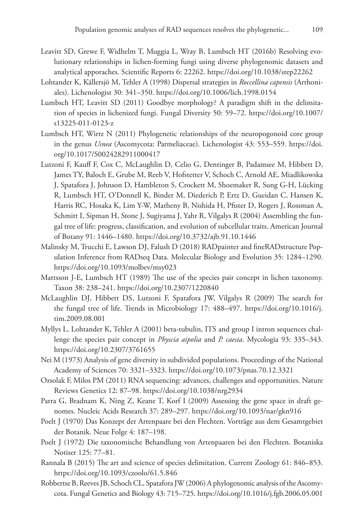- Leavitt SD, Grewe F, Widhelm T, Muggia L, Wray B, Lumbsch HT (2016b) Resolving evolutionary relationships in lichen-forming fungi using diverse phylogenomic datasets and analytical apporaches. Scientific Reports 6: 22262.<https://doi.org/10.1038/srep22262>
- Lohtander K, Källersjö M, Tehler A (1998) Dispersal strategies in *Roccellina capensis* (Arthoniales). Lichenologist 30: 341–350. <https://doi.org/10.1006/lich.1998.0154>
- Lumbsch HT, Leavitt SD (2011) Goodbye morphology? A paradigm shift in the delimitation of species in lichenized fungi. Fungal Diversity 50: 59–72. [https://doi.org/10.1007/](https://doi.org/10.1007/s13225-011-0123-z) [s13225-011-0123-z](https://doi.org/10.1007/s13225-011-0123-z)
- Lumbsch HT, Wirtz N (2011) Phylogenetic relationships of the neuropogonoid core group in the genus *Usnea* (Ascomycota: Parmeliaceae). Lichenologist 43: 553–559. [https://doi.](https://doi.org/10.1017/S0024282911000417) [org/10.1017/S0024282911000417](https://doi.org/10.1017/S0024282911000417)
- Lutzoni F, Kauff F, Cox C, McLaughlin D, Celio G, Dentinger B, Padamsee M, Hibbett D, James TY, Baloch E, Grube M, Reeb V, Hofstetter V, Schoch C, Arnold AE, Miadlikowska J, Spatafora J, Johnson D, Hambleton S, Crockett M, Shoemaker R, Sung G-H, Lücking R, Lumbsch HT, O'Donnell K, Binder M, Diederich P, Ertz D, Gueidan C, Hansen K, Harris RC, Hosaka K, Lim Y-W, Matheny B, Nishida H, Pfister D, Rogers J, Rossman A, Schmitt I, Sipman H, Stone J, Sugiyama J, Yahr R, Vilgalys R (2004) Assembling the fungal tree of life: progress, classification, and evolution of subcellular traits. American Journal of Botany 91: 1446–1480. <https://doi.org/10.3732/ajb.91.10.1446>
- Malinsky M, Trucchi E, Lawson DJ, Falush D (2018) RADpainter and fineRADstructure Population Inference from RADseq Data. Molecular Biology and Evolution 35: 1284–1290. <https://doi.org/10.1093/molbev/msy023>
- Mattsson J-E, Lumbsch HT (1989) The use of the species pair concept in lichen taxonomy. Taxon 38: 238–241. <https://doi.org/10.2307/1220840>
- McLaughlin DJ, Hibbett DS, Lutzoni F, Spatafora JW, Vilgalys R (2009) The search for the fungal tree of life. Trends in Microbiology 17: 488–497. [https://doi.org/10.1016/j.](https://doi.org/10.1016/j.tim.2009.08.001) [tim.2009.08.001](https://doi.org/10.1016/j.tim.2009.08.001)
- Myllys L, Lohtander K, Tehler A (2001) beta-tubulin, ITS and group I intron sequences challenge the species pair concept in *Physcia aipolia* and *P. caesia*. Mycologia 93: 335–343. <https://doi.org/10.2307/3761655>
- Nei M (1973) Analysis of gene diversity in subdivided populations. Proceedings of the National Academy of Sciences 70: 3321–3323.<https://doi.org/10.1073/pnas.70.12.3321>
- Ozsolak F, Milos PM (2011) RNA sequencing: advances, challenges and opportunities. Nature Reviews Genetics 12: 87–98. <https://doi.org/10.1038/nrg2934>
- Parra G, Bradnam K, Ning Z, Keane T, Korf I (2009) Assessing the gene space in draft genomes. Nucleic Acids Research 37: 289–297. <https://doi.org/10.1093/nar/gkn916>
- Poelt J (1970) Das Konzept der Artenpaare bei den Flechten. Vorträge aus dem Gesamtgebiet der Botanik. Neue Folge 4: 187–198.
- Poelt J (1972) Die taxonomische Behandlung von Artenpaaren bei den Flechten. Botaniska Notiser 125: 77–81.
- Rannala B (2015) The art and science of species delimitation. Current Zoology 61: 846–853. <https://doi.org/10.1093/czoolo/61.5.846>
- Robbertse B, Reeves JB, Schoch CL, Spatafora JW (2006) A phylogenomic analysis of the Ascomycota. Fungal Genetics and Biology 43: 715–725.<https://doi.org/10.1016/j.fgb.2006.05.001>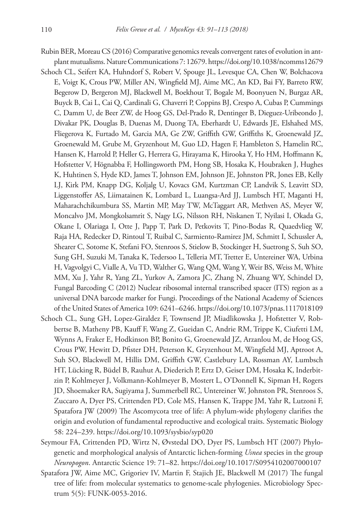- Rubin BER, Moreau CS (2016) Comparative genomics reveals convergent rates of evolution in antplant mutualisms. Nature Communications 7: 12679.<https://doi.org/10.1038/ncomms12679> Schoch CL, Seifert KA, Huhndorf S, Robert V, Spouge JL, Levesque CA, Chen W, Bolchacova E, Voigt K, Crous PW, Miller AN, Wingfield MJ, Aime MC, An KD, Bai FY, Barreto RW, Begerow D, Bergeron MJ, Blackwell M, Boekhout T, Bogale M, Boonyuen N, Burgaz AR, Buyck B, Cai L, Cai Q, Cardinali G, Chaverri P, Coppins BJ, Crespo A, Cubas P, Cummings C, Damm U, de Beer ZW, de Hoog GS, Del-Prado R, Dentinger B, Dieguez-Uribeondo J, Divakar PK, Douglas B, Duenas M, Duong TA, Eberhardt U, Edwards JE, Elshahed MS, Fliegerova K, Furtado M, Garcia MA, Ge ZW, Griffith GW, Griffiths K, Groenewald JZ, Groenewald M, Grube M, Gryzenhout M, Guo LD, Hagen F, Hambleton S, Hamelin RC, Hansen K, Harrold P, Heller G, Herrera G, Hirayama K, Hirooka Y, Ho HM, Hoffmann K, Hofstetter V, Högnabba F, Hollingsworth PM, Hong SB, Hosaka K, Houbraken J, Hughes K, Huhtinen S, Hyde KD, James T, Johnson EM, Johnson JE, Johnston PR, Jones EB, Kelly LJ, Kirk PM, Knapp DG, Koljalg U, Kovacs GM, Kurtzman CP, Landvik S, Leavitt SD, Liggenstoffer AS, Liimatainen K, Lombard L, Luangsa-Ard JJ, Lumbsch HT, Maganti H, Maharachchikumbura SS, Martin MP, May TW, McTaggart AR, Methven AS, Meyer W, Moncalvo JM, Mongkolsamrit S, Nagy LG, Nilsson RH, Niskanen T, Nyilasi I, Okada G, Okane I, Olariaga I, Otte J, Papp T, Park D, Petkovits T, Pino-Bodas R, Quaedvlieg W, Raja HA, Redecker D, Rintoul T, Ruibal C, Sarmiento-Ramirez JM, Schmitt I, Schussler A, Shearer C, Sotome K, Stefani FO, Stenroos S, Stielow B, Stockinger H, Suetrong S, Suh SO, Sung GH, Suzuki M, Tanaka K, Tedersoo L, Telleria MT, Tretter E, Untereiner WA, Urbina H, Vagvolgyi C, Vialle A, Vu TD, Walther G, Wang QM, Wang Y, Weir BS, Weiss M, White MM, Xu J, Yahr R, Yang ZL, Yurkov A, Zamora JC, Zhang N, Zhuang WY, Schindel D, Fungal Barcoding C (2012) Nuclear ribosomal internal transcribed spacer (ITS) region as a universal DNA barcode marker for Fungi. Proceedings of the National Academy of Sciences of the United States of America 109: 6241–6246.<https://doi.org/10.1073/pnas.1117018109>
- Schoch CL, Sung GH, Lopez-Giraldez F, Townsend JP, Miadlikowska J, Hofstetter V, Robbertse B, Matheny PB, Kauff F, Wang Z, Gueidan C, Andrie RM, Trippe K, Ciufetti LM, Wynns A, Fraker E, Hodkinson BP, Bonito G, Groenewald JZ, Arzanlou M, de Hoog GS, Crous PW, Hewitt D, Pfister DH, Peterson K, Gryzenhout M, Wingfield MJ, Aptroot A, Suh SO, Blackwell M, Hillis DM, Griffith GW, Castlebury LA, Rossman AY, Lumbsch HT, Lücking R, Büdel B, Rauhut A, Diederich P, Ertz D, Geiser DM, Hosaka K, Inderbitzin P, Kohlmeyer J, Volkmann-Kohlmeyer B, Mostert L, O'Donnell K, Sipman H, Rogers JD, Shoemaker RA, Sugiyama J, Summerbell RC, Untereiner W, Johnston PR, Stenroos S, Zuccaro A, Dyer PS, Crittenden PD, Cole MS, Hansen K, Trappe JM, Yahr R, Lutzoni F, Spatafora JW (2009) The Ascomycota tree of life: A phylum-wide phylogeny clarifies the origin and evolution of fundamental reproductive and ecological traits. Systematic Biology 58: 224–239.<https://doi.org/10.1093/sysbio/syp020>
- Seymour FA, Crittenden PD, Wirtz N, Øvstedal DO, Dyer PS, Lumbsch HT (2007) Phylogenetic and morphological analysis of Antarctic lichen-forming *Usnea* species in the group *Neuropogon*. Antarctic Science 19: 71–82. <https://doi.org/10.1017/S0954102007000107>
- Spatafora JW, Aime MC, Grigoriev IV, Martin F, Stajich JE, Blackwell M (2017) The fungal tree of life: from molecular systematics to genome-scale phylogenies. Microbiology Spectrum 5(5): FUNK-0053-2016.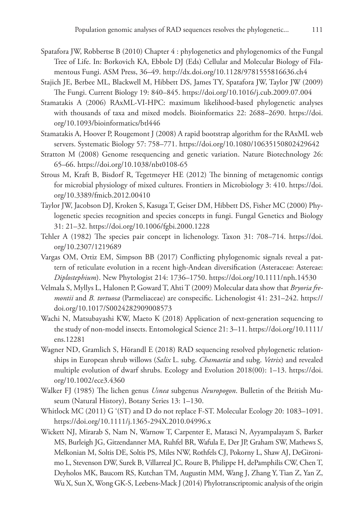- Spatafora JW, Robbertse B (2010) Chapter 4 : phylogenetics and phylogenomics of the Fungal Tree of Life. In: Borkovich KA, Ebbole DJ (Eds) Cellular and Molecular Biology of Filamentous Fungi. ASM Press, 36–49.<http://dx.doi.org/10.1128/9781555816636.ch4>
- Stajich JE, Berbee ML, Blackwell M, Hibbett DS, James TY, Spatafora JW, Taylor JW (2009) The Fungi. Current Biology 19: 840–845.<https://doi.org/10.1016/j.cub.2009.07.004>
- Stamatakis A (2006) RAxML-VI-HPC: maximum likelihood-based phylogenetic analyses with thousands of taxa and mixed models. Bioinformatics 22: 2688–2690. [https://doi.](https://doi.org/10.1093/bioinformatics/btl446) [org/10.1093/bioinformatics/btl446](https://doi.org/10.1093/bioinformatics/btl446)
- Stamatakis A, Hoover P, Rougemont J (2008) A rapid bootstrap algorithm for the RAxML web servers. Systematic Biology 57: 758–771.<https://doi.org/10.1080/10635150802429642>
- Stratton M (2008) Genome resequencing and genetic variation. Nature Biotechnology 26: 65–66.<https://doi.org/10.1038/nbt0108-65>
- Strous M, Kraft B, Bisdorf R, Tegetmeyer HE (2012) The binning of metagenomic contigs for microbial physiology of mixed cultures. Frontiers in Microbiology 3: 410. [https://doi.](https://doi.org/10.3389/fmicb.2012.00410) [org/10.3389/fmicb.2012.00410](https://doi.org/10.3389/fmicb.2012.00410)
- Taylor JW, Jacobson DJ, Kroken S, Kasuga T, Geiser DM, Hibbett DS, Fisher MC (2000) Phylogenetic species recognition and species concepts in fungi. Fungal Genetics and Biology 31: 21–32.<https://doi.org/10.1006/fgbi.2000.1228>
- Tehler A (1982) The species pair concept in lichenology. Taxon 31: 708–714. [https://doi.](https://doi.org/10.2307/1219689) [org/10.2307/1219689](https://doi.org/10.2307/1219689)
- Vargas OM, Ortiz EM, Simpson BB (2017) Conflicting phylogenomic signals reveal a pattern of reticulate evolution in a recent high-Andean diversification (Asteraceae: Astereae: *Diplostephium*). New Phytologist 214: 1736–1750. <https://doi.org/10.1111/nph.14530>
- Velmala S, Myllys L, Halonen P, Goward T, Ahti T (2009) Molecular data show that *Bryoria fremontii* and *B. tortuosa* (Parmeliaceae) are conspecific. Lichenologist 41: 231–242. [https://](https://doi.org/10.1017/S0024282909008573) [doi.org/10.1017/S0024282909008573](https://doi.org/10.1017/S0024282909008573)
- Wachi N, Matsubayashi KW, Maeto K (2018) Application of next-generation sequencing to the study of non-model insects. Entomological Science 21: 3–11. [https://doi.org/10.1111/](https://doi.org/10.1111/ens.12281) [ens.12281](https://doi.org/10.1111/ens.12281)
- Wagner ND, Gramlich S, Hörandl E (2018) RAD sequencing resolved phylogenetic relationships in European shrub willows (*Salix* L. subg. *Chamaetia* and subg. *Vetrix*) and revealed multiple evolution of dwarf shrubs. Ecology and Evolution 2018(00): 1–13. [https://doi.](https://doi.org/10.1002/ece3.4360) [org/10.1002/ece3.4360](https://doi.org/10.1002/ece3.4360)
- Walker FJ (1985) The lichen genus *Usnea* subgenus *Neuropogon*. Bulletin of the British Museum (Natural History), Botany Series 13: 1–130.
- Whitlock MC (2011) G '(ST) and D do not replace F-ST. Molecular Ecology 20: 1083–1091. <https://doi.org/10.1111/j.1365-294X.2010.04996.x>
- Wickett NJ, Mirarab S, Nam N, Warnow T, Carpenter E, Matasci N, Ayyampalayam S, Barker MS, Burleigh JG, Gitzendanner MA, Ruhfel BR, Wafula E, Der JP, Graham SW, Mathews S, Melkonian M, Soltis DE, Soltis PS, Miles NW, Rothfels CJ, Pokorny L, Shaw AJ, DeGironimo L, Stevenson DW, Surek B, Villarreal JC, Roure B, Philippe H, dePamphilis CW, Chen T, Deyholos MK, Baucom RS, Kutchan TM, Augustin MM, Wang J, Zhang Y, Tian Z, Yan Z, Wu X, Sun X, Wong GK-S, Leebens-Mack J (2014) Phylotranscriptomic analysis of the origin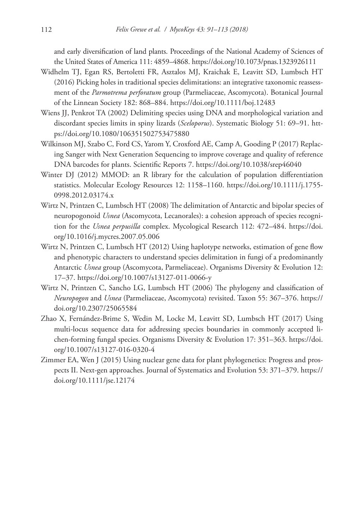and early diversification of land plants. Proceedings of the National Academy of Sciences of the United States of America 111: 4859–4868. <https://doi.org/10.1073/pnas.1323926111>

- Widhelm TJ, Egan RS, Bertoletti FR, Asztalos MJ, Kraichak E, Leavitt SD, Lumbsch HT (2016) Picking holes in traditional species delimitations: an integrative taxonomic reassessment of the *Parmotrema perforatum* group (Parmeliaceae, Ascomycota). Botanical Journal of the Linnean Society 182: 868–884. <https://doi.org/10.1111/boj.12483>
- Wiens JJ, Penkrot TA (2002) Delimiting species using DNA and morphological variation and discordant species limits in spiny lizards (*Sceloporus*). Systematic Biology 51: 69–91. [htt](https://doi.org/10.1080/106351502753475880)[ps://doi.org/10.1080/106351502753475880](https://doi.org/10.1080/106351502753475880)
- Wilkinson MJ, Szabo C, Ford CS, Yarom Y, Croxford AE, Camp A, Gooding P (2017) Replacing Sanger with Next Generation Sequencing to improve coverage and quality of reference DNA barcodes for plants. Scientific Reports 7. <https://doi.org/10.1038/srep46040>
- Winter DJ (2012) MMOD: an R library for the calculation of population differentiation statistics. Molecular Ecology Resources 12: 1158–1160. [https://doi.org/10.1111/j.1755-](https://doi.org/10.1111/j.1755-0998.2012.03174.x) [0998.2012.03174.x](https://doi.org/10.1111/j.1755-0998.2012.03174.x)
- Wirtz N, Printzen C, Lumbsch HT (2008) The delimitation of Antarctic and bipolar species of neuropogonoid *Usnea* (Ascomycota, Lecanorales): a cohesion approach of species recognition for the *Usnea perpusilla* complex. Mycological Research 112: 472–484. [https://doi.](https://doi.org/10.1016/j.mycres.2007.05.006) [org/10.1016/j.mycres.2007.05.006](https://doi.org/10.1016/j.mycres.2007.05.006)
- Wirtz N, Printzen C, Lumbsch HT (2012) Using haplotype networks, estimation of gene flow and phenotypic characters to understand species delimitation in fungi of a predominantly Antarctic *Usnea* group (Ascomycota, Parmeliaceae). Organisms Diversity & Evolution 12: 17–37.<https://doi.org/10.1007/s13127-011-0066-y>
- Wirtz N, Printzen C, Sancho LG, Lumbsch HT (2006) The phylogeny and classification of *Neuropogon* and *Usnea* (Parmeliaceae, Ascomycota) revisited. Taxon 55: 367–376. [https://](https://doi.org/10.2307/25065584) [doi.org/10.2307/25065584](https://doi.org/10.2307/25065584)
- Zhao X, Fernández-Brime S, Wedin M, Locke M, Leavitt SD, Lumbsch HT (2017) Using multi-locus sequence data for addressing species boundaries in commonly accepted lichen-forming fungal species. Organisms Diversity & Evolution 17: 351–363. [https://doi.](https://doi.org/10.1007/s13127-016-0320-4) [org/10.1007/s13127-016-0320-4](https://doi.org/10.1007/s13127-016-0320-4)
- Zimmer EA, Wen J (2015) Using nuclear gene data for plant phylogenetics: Progress and prospects II. Next-gen approaches. Journal of Systematics and Evolution 53: 371–379. [https://](https://doi.org/10.1111/jse.12174) [doi.org/10.1111/jse.12174](https://doi.org/10.1111/jse.12174)